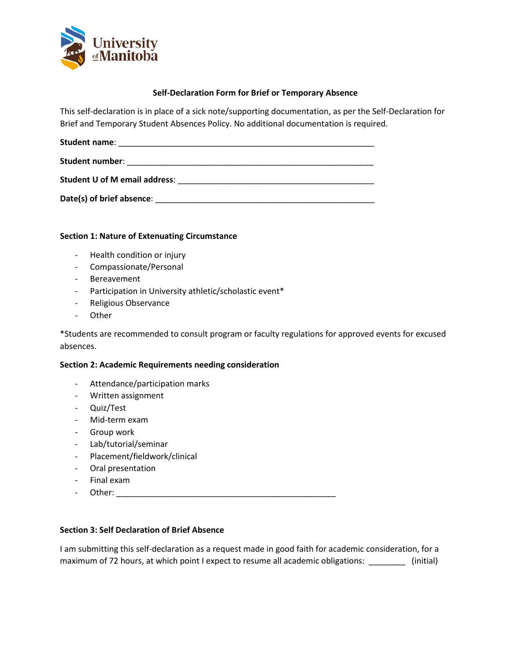

#### **Self-Declaration Form for Brief or Temporary Absence**

This self-declaration is in place of a sick note/supporting documentation, as per the Self-Declaration for Brief and Temporary Student Absences Policy. No additional documentation is required.

| <b>Student name:</b>                                                                                                                                                                                                           |  |
|--------------------------------------------------------------------------------------------------------------------------------------------------------------------------------------------------------------------------------|--|
| Student number: with the contract of the contract of the contract of the contract of the contract of the contract of the contract of the contract of the contract of the contract of the contract of the contract of the contr |  |
| <b>Student U of M email address:</b>                                                                                                                                                                                           |  |
| Date(s) of brief absence:                                                                                                                                                                                                      |  |

## **Section 1: Nature of Extenuating Circumstance**

- Health condition or injury
- Compassionate/Personal
- Bereavement
- Participation in University athletic/scholastic event\*
- Religious Observance
- Other

\*Students are recommended to consult program or faculty regulations for approved events for excused absences.

## **Section 2: Academic Requirements needing consideration**

- Attendance/participation marks
- Written assignment
- Quiz/Test
- Mid-term exam
- Group work
- Lab/tutorial/seminar
- Placement/fieldwork/clinical
- Oral presentation
- Final exam
- Other: \_\_\_\_\_\_\_\_\_\_\_\_\_\_\_\_\_\_\_\_\_\_\_\_\_\_\_\_\_\_\_\_\_\_\_\_\_\_\_\_\_\_\_\_\_\_\_\_

## **Section 3: Self Declaration of Brief Absence**

I am submitting this self-declaration as a request made in good faith for academic consideration, for a maximum of 72 hours, at which point I expect to resume all academic obligations: \_\_\_\_\_\_\_\_\_ (initial)